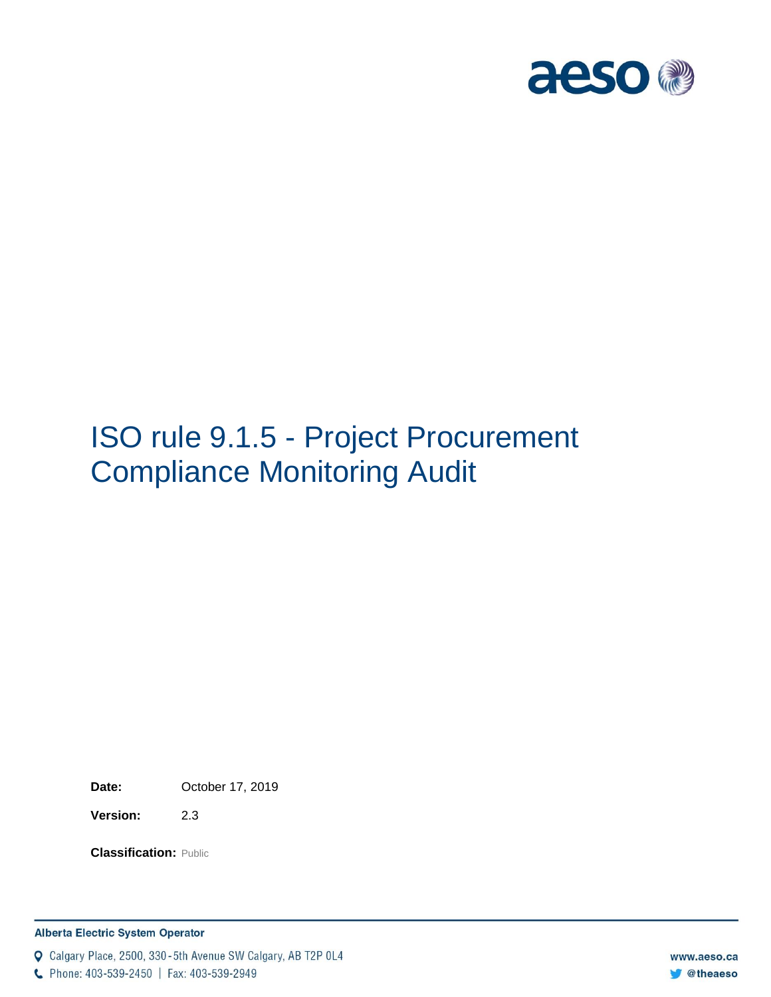

# ISO rule 9.1.5 - Project Procurement Compliance Monitoring Audit

**Date:** October 17, 2019

**Version:** 2.3

**Classification:** Public

Q Calgary Place, 2500, 330-5th Avenue SW Calgary, AB T2P 0L4

C Phone: 403-539-2450 | Fax: 403-539-2949

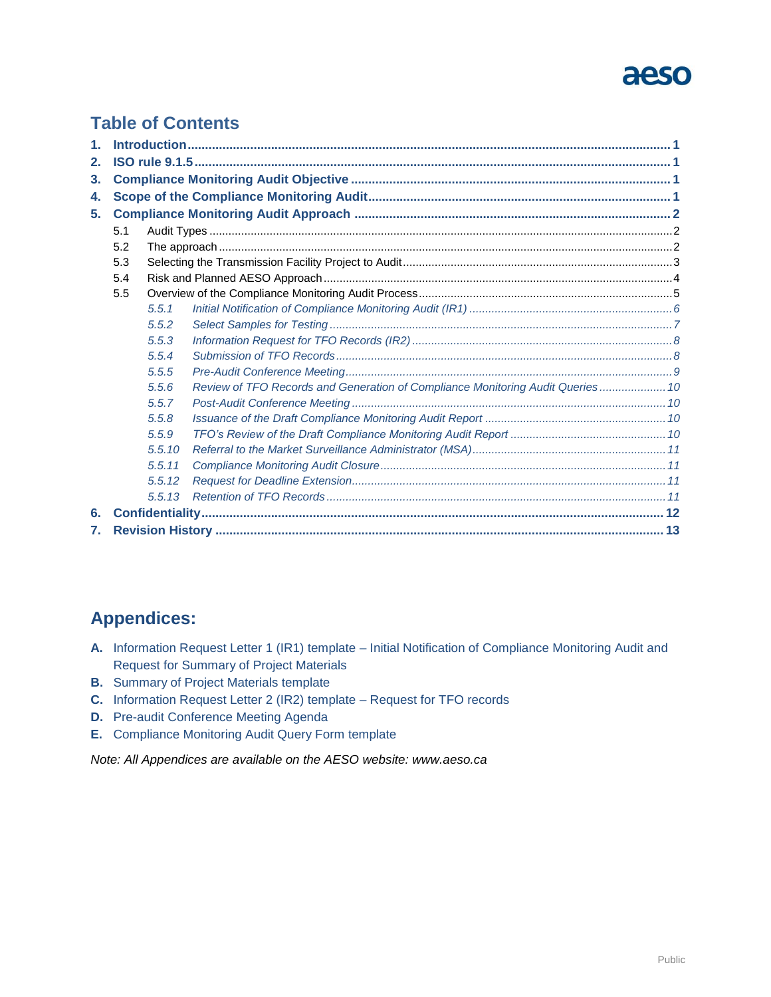## aeso

### **Table of Contents**

| 1. |     |        |                                                                                |  |  |  |  |  |
|----|-----|--------|--------------------------------------------------------------------------------|--|--|--|--|--|
| 2. |     |        |                                                                                |  |  |  |  |  |
| 3. |     |        |                                                                                |  |  |  |  |  |
| 4. |     |        |                                                                                |  |  |  |  |  |
| 5. |     |        |                                                                                |  |  |  |  |  |
|    | 5.1 |        |                                                                                |  |  |  |  |  |
|    | 5.2 |        |                                                                                |  |  |  |  |  |
|    | 5.3 |        |                                                                                |  |  |  |  |  |
|    | 5.4 |        |                                                                                |  |  |  |  |  |
|    | 5.5 |        |                                                                                |  |  |  |  |  |
|    |     | 5.5.1  |                                                                                |  |  |  |  |  |
|    |     | 5.5.2  |                                                                                |  |  |  |  |  |
|    |     | 5.5.3  |                                                                                |  |  |  |  |  |
|    |     | 5.5.4  |                                                                                |  |  |  |  |  |
|    |     | 5.5.5  |                                                                                |  |  |  |  |  |
|    |     | 5.5.6  | Review of TFO Records and Generation of Compliance Monitoring Audit Queries 10 |  |  |  |  |  |
|    |     | 5.5.7  |                                                                                |  |  |  |  |  |
|    |     | 5.5.8  |                                                                                |  |  |  |  |  |
|    |     | 5.5.9  |                                                                                |  |  |  |  |  |
|    |     | 5.5.10 |                                                                                |  |  |  |  |  |
|    |     | 5.5.11 |                                                                                |  |  |  |  |  |
|    |     | 5.5.12 |                                                                                |  |  |  |  |  |
|    |     | 5.5.13 |                                                                                |  |  |  |  |  |
| 6. |     |        |                                                                                |  |  |  |  |  |
| 7. |     |        |                                                                                |  |  |  |  |  |

### **Appendices:**

- **A.** Information Request Letter 1 (IR1) template Initial Notification of Compliance Monitoring Audit and Request for Summary of Project Materials
- **B.** Summary of Project Materials template
- **C.** Information Request Letter 2 (IR2) template Request for TFO records
- **D.** Pre-audit Conference Meeting Agenda
- **E.** Compliance Monitoring Audit Query Form template

*Note: All Appendices are available on the AESO website: www.aeso.ca*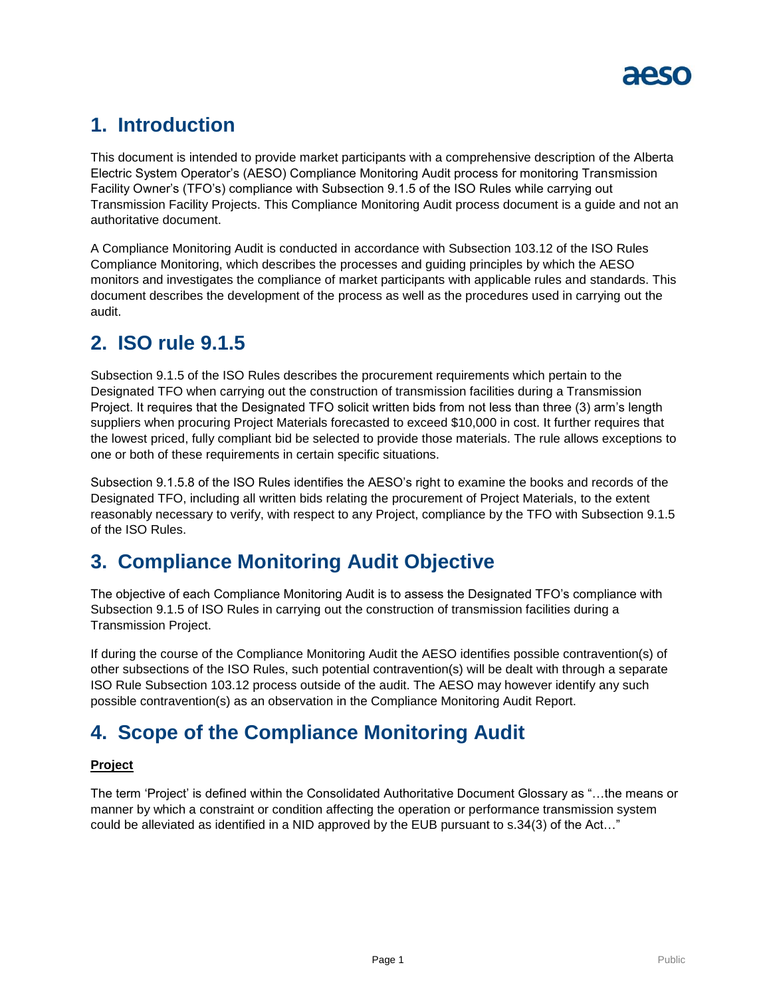

### <span id="page-2-0"></span>**1. Introduction**

This document is intended to provide market participants with a comprehensive description of the Alberta Electric System Operator's (AESO) Compliance Monitoring Audit process for monitoring Transmission Facility Owner's (TFO's) compliance with Subsection 9.1.5 of the ISO Rules while carrying out Transmission Facility Projects. This Compliance Monitoring Audit process document is a guide and not an authoritative document.

A Compliance Monitoring Audit is conducted in accordance with Subsection 103.12 of the ISO Rules Compliance Monitoring, which describes the processes and guiding principles by which the AESO monitors and investigates the compliance of market participants with applicable rules and standards. This document describes the development of the process as well as the procedures used in carrying out the audit.

### <span id="page-2-1"></span>**2. ISO rule 9.1.5**

Subsection 9.1.5 of the ISO Rules describes the procurement requirements which pertain to the Designated TFO when carrying out the construction of transmission facilities during a Transmission Project. It requires that the Designated TFO solicit written bids from not less than three (3) arm's length suppliers when procuring Project Materials forecasted to exceed \$10,000 in cost. It further requires that the lowest priced, fully compliant bid be selected to provide those materials. The rule allows exceptions to one or both of these requirements in certain specific situations.

Subsection 9.1.5.8 of the ISO Rules identifies the AESO's right to examine the books and records of the Designated TFO, including all written bids relating the procurement of Project Materials, to the extent reasonably necessary to verify, with respect to any Project, compliance by the TFO with Subsection 9.1.5 of the ISO Rules.

### <span id="page-2-2"></span>**3. Compliance Monitoring Audit Objective**

The objective of each Compliance Monitoring Audit is to assess the Designated TFO's compliance with Subsection 9.1.5 of ISO Rules in carrying out the construction of transmission facilities during a Transmission Project.

If during the course of the Compliance Monitoring Audit the AESO identifies possible contravention(s) of other subsections of the ISO Rules, such potential contravention(s) will be dealt with through a separate ISO Rule Subsection 103.12 process outside of the audit. The AESO may however identify any such possible contravention(s) as an observation in the Compliance Monitoring Audit Report.

### <span id="page-2-3"></span>**4. Scope of the Compliance Monitoring Audit**

#### **Project**

The term 'Project' is defined within the Consolidated Authoritative Document Glossary as "…the means or manner by which a constraint or condition affecting the operation or performance transmission system could be alleviated as identified in a NID approved by the EUB pursuant to s.34(3) of the Act…"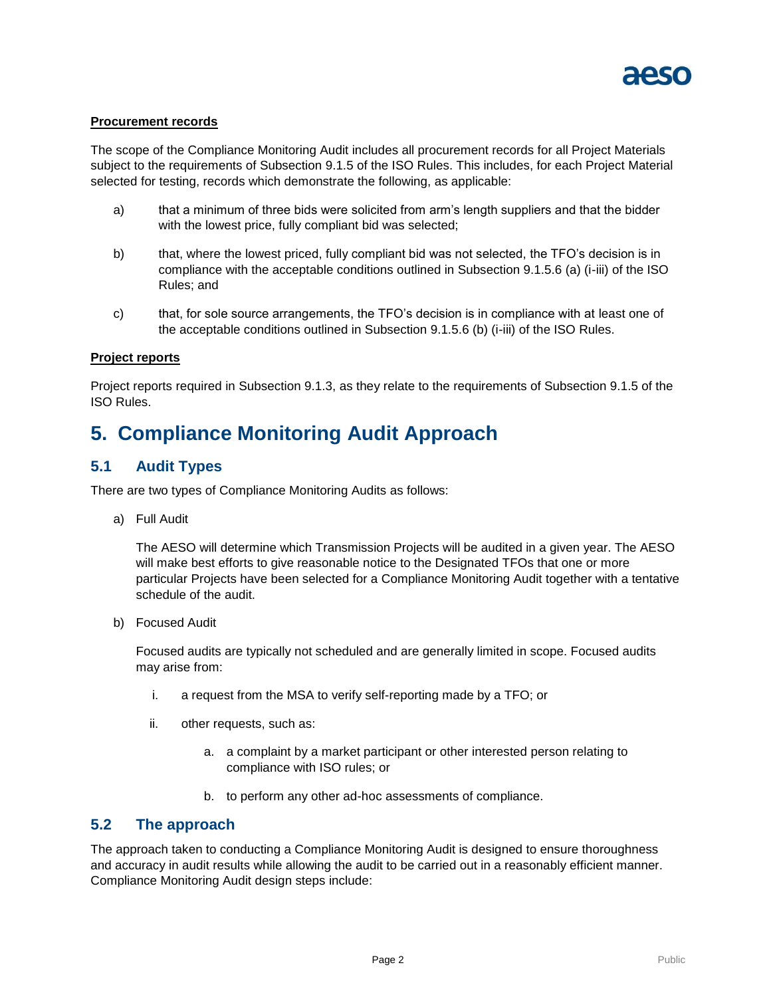

#### **Procurement records**

The scope of the Compliance Monitoring Audit includes all procurement records for all Project Materials subject to the requirements of Subsection 9.1.5 of the ISO Rules. This includes, for each Project Material selected for testing, records which demonstrate the following, as applicable:

- a) that a minimum of three bids were solicited from arm's length suppliers and that the bidder with the lowest price, fully compliant bid was selected;
- b) that, where the lowest priced, fully compliant bid was not selected, the TFO's decision is in compliance with the acceptable conditions outlined in Subsection 9.1.5.6 (a) (i-iii) of the ISO Rules; and
- c) that, for sole source arrangements, the TFO's decision is in compliance with at least one of the acceptable conditions outlined in Subsection 9.1.5.6 (b) (i-iii) of the ISO Rules.

#### **Project reports**

Project reports required in Subsection 9.1.3, as they relate to the requirements of Subsection 9.1.5 of the ISO Rules.

### <span id="page-3-0"></span>**5. Compliance Monitoring Audit Approach**

#### <span id="page-3-1"></span>**5.1 Audit Types**

There are two types of Compliance Monitoring Audits as follows:

a) Full Audit

The AESO will determine which Transmission Projects will be audited in a given year. The AESO will make best efforts to give reasonable notice to the Designated TFOs that one or more particular Projects have been selected for a Compliance Monitoring Audit together with a tentative schedule of the audit.

b) Focused Audit

Focused audits are typically not scheduled and are generally limited in scope. Focused audits may arise from:

- i. a request from the MSA to verify self-reporting made by a TFO; or
- ii. other requests, such as:
	- a. a complaint by a market participant or other interested person relating to compliance with ISO rules; or
	- b. to perform any other ad-hoc assessments of compliance.

#### <span id="page-3-2"></span>**5.2 The approach**

The approach taken to conducting a Compliance Monitoring Audit is designed to ensure thoroughness and accuracy in audit results while allowing the audit to be carried out in a reasonably efficient manner. Compliance Monitoring Audit design steps include: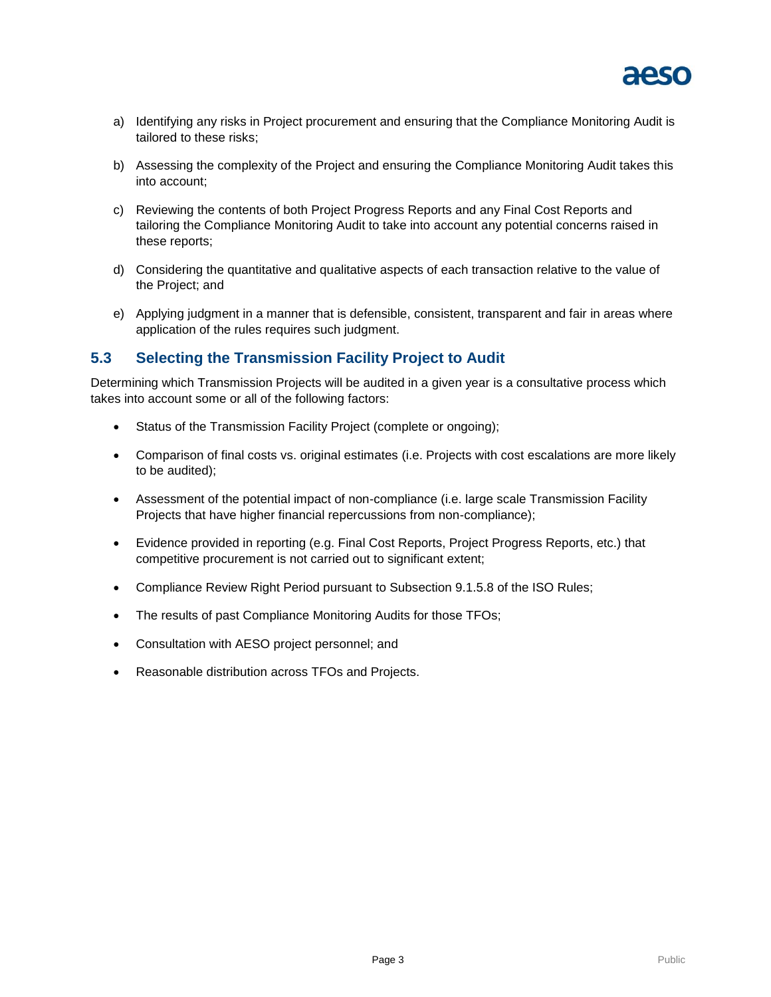

- a) Identifying any risks in Project procurement and ensuring that the Compliance Monitoring Audit is tailored to these risks;
- b) Assessing the complexity of the Project and ensuring the Compliance Monitoring Audit takes this into account;
- c) Reviewing the contents of both Project Progress Reports and any Final Cost Reports and tailoring the Compliance Monitoring Audit to take into account any potential concerns raised in these reports;
- d) Considering the quantitative and qualitative aspects of each transaction relative to the value of the Project; and
- e) Applying judgment in a manner that is defensible, consistent, transparent and fair in areas where application of the rules requires such judgment.

#### <span id="page-4-0"></span>**5.3 Selecting the Transmission Facility Project to Audit**

Determining which Transmission Projects will be audited in a given year is a consultative process which takes into account some or all of the following factors:

- Status of the Transmission Facility Project (complete or ongoing);
- Comparison of final costs vs. original estimates (i.e. Projects with cost escalations are more likely to be audited);
- Assessment of the potential impact of non-compliance (i.e. large scale Transmission Facility Projects that have higher financial repercussions from non-compliance);
- Evidence provided in reporting (e.g. Final Cost Reports, Project Progress Reports, etc.) that competitive procurement is not carried out to significant extent;
- Compliance Review Right Period pursuant to Subsection 9.1.5.8 of the ISO Rules;
- The results of past Compliance Monitoring Audits for those TFOs;
- Consultation with AESO project personnel; and
- Reasonable distribution across TFOs and Projects.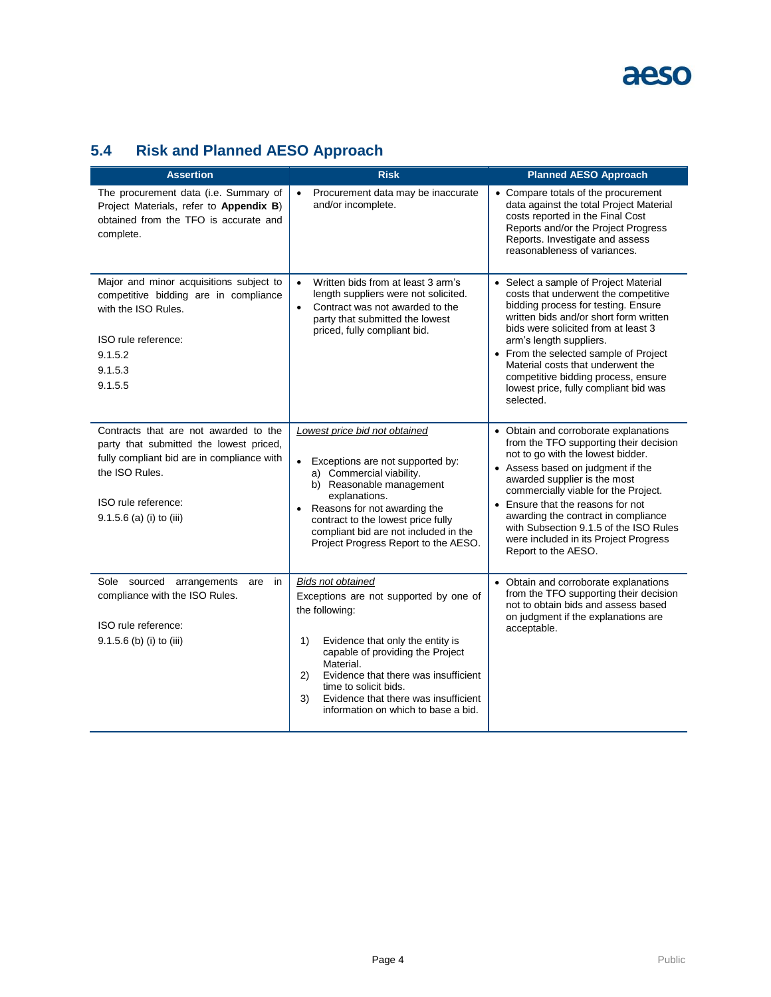### <span id="page-5-0"></span>**5.4 Risk and Planned AESO Approach**

| <b>Assertion</b>                                                                                                                                                                                    | <b>Risk</b>                                                                                                                                                                                                                                                                                                                                 | <b>Planned AESO Approach</b>                                                                                                                                                                                                                                                                                                                                                                                            |
|-----------------------------------------------------------------------------------------------------------------------------------------------------------------------------------------------------|---------------------------------------------------------------------------------------------------------------------------------------------------------------------------------------------------------------------------------------------------------------------------------------------------------------------------------------------|-------------------------------------------------------------------------------------------------------------------------------------------------------------------------------------------------------------------------------------------------------------------------------------------------------------------------------------------------------------------------------------------------------------------------|
| The procurement data (i.e. Summary of<br>Project Materials, refer to Appendix B)<br>obtained from the TFO is accurate and<br>complete.                                                              | Procurement data may be inaccurate<br>$\bullet$<br>and/or incomplete.                                                                                                                                                                                                                                                                       | • Compare totals of the procurement<br>data against the total Project Material<br>costs reported in the Final Cost<br>Reports and/or the Project Progress<br>Reports. Investigate and assess<br>reasonableness of variances.                                                                                                                                                                                            |
| Major and minor acquisitions subject to<br>competitive bidding are in compliance<br>with the ISO Rules.<br>ISO rule reference:<br>9.1.5.2<br>9.1.5.3<br>9.1.5.5                                     | Written bids from at least 3 arm's<br>$\bullet$<br>length suppliers were not solicited.<br>Contract was not awarded to the<br>$\bullet$<br>party that submitted the lowest<br>priced, fully compliant bid.                                                                                                                                  | • Select a sample of Project Material<br>costs that underwent the competitive<br>bidding process for testing. Ensure<br>written bids and/or short form written<br>bids were solicited from at least 3<br>arm's length suppliers.<br>• From the selected sample of Project<br>Material costs that underwent the<br>competitive bidding process, ensure<br>lowest price, fully compliant bid was<br>selected.             |
| Contracts that are not awarded to the<br>party that submitted the lowest priced,<br>fully compliant bid are in compliance with<br>the ISO Rules.<br>ISO rule reference:<br>9.1.5.6 (a) (i) to (iii) | Lowest price bid not obtained<br>Exceptions are not supported by:<br>$\bullet$<br>a) Commercial viability.<br>b) Reasonable management<br>explanations.<br>Reasons for not awarding the<br>$\bullet$<br>contract to the lowest price fully<br>compliant bid are not included in the<br>Project Progress Report to the AESO.                 | • Obtain and corroborate explanations<br>from the TFO supporting their decision<br>not to go with the lowest bidder.<br>• Assess based on judgment if the<br>awarded supplier is the most<br>commercially viable for the Project.<br>• Ensure that the reasons for not<br>awarding the contract in compliance<br>with Subsection 9.1.5 of the ISO Rules<br>were included in its Project Progress<br>Report to the AESO. |
| Sole sourced arrangements<br>in<br>are<br>compliance with the ISO Rules.<br>ISO rule reference:<br>9.1.5.6 (b) (i) to (iii)                                                                         | <b>Bids not obtained</b><br>Exceptions are not supported by one of<br>the following:<br>Evidence that only the entity is<br>1)<br>capable of providing the Project<br>Material.<br>Evidence that there was insufficient<br>2)<br>time to solicit bids.<br>Evidence that there was insufficient<br>3)<br>information on which to base a bid. | • Obtain and corroborate explanations<br>from the TFO supporting their decision<br>not to obtain bids and assess based<br>on judgment if the explanations are<br>acceptable.                                                                                                                                                                                                                                            |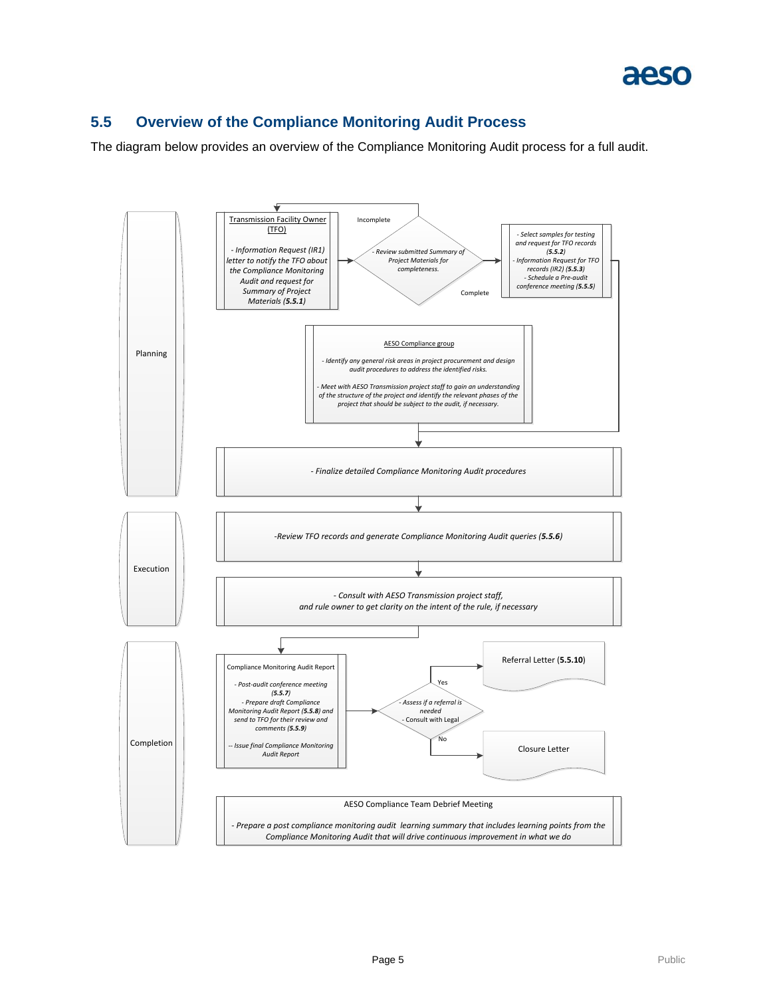#### <span id="page-6-0"></span>**5.5 Overview of the Compliance Monitoring Audit Process**

The diagram below provides an overview of the Compliance Monitoring Audit process for a full audit.

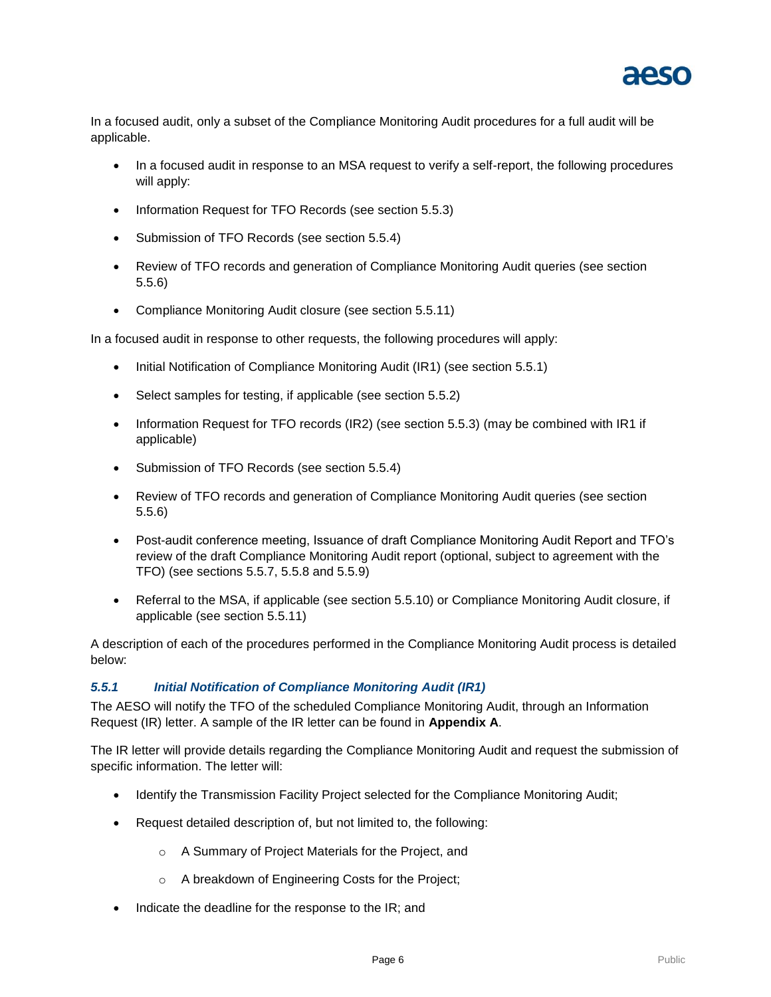

In a focused audit, only a subset of the Compliance Monitoring Audit procedures for a full audit will be applicable.

- In a focused audit in response to an MSA request to verify a self-report, the following procedures will apply:
- Information Request for TFO Records (see section 5.5.3)
- Submission of TFO Records (see section 5.5.4)
- Review of TFO records and generation of Compliance Monitoring Audit queries (see section 5.5.6)
- Compliance Monitoring Audit closure (see section 5.5.11)

In a focused audit in response to other requests, the following procedures will apply:

- Initial Notification of Compliance Monitoring Audit (IR1) (see section 5.5.1)
- Select samples for testing, if applicable (see section 5.5.2)
- Information Request for TFO records (IR2) (see section 5.5.3) (may be combined with IR1 if applicable)
- Submission of TFO Records (see section 5.5.4)
- Review of TFO records and generation of Compliance Monitoring Audit queries (see section 5.5.6)
- Post-audit conference meeting, Issuance of draft Compliance Monitoring Audit Report and TFO's review of the draft Compliance Monitoring Audit report (optional, subject to agreement with the TFO) (see sections 5.5.7, 5.5.8 and 5.5.9)
- Referral to the MSA, if applicable (see section 5.5.10) or Compliance Monitoring Audit closure, if applicable (see section 5.5.11)

A description of each of the procedures performed in the Compliance Monitoring Audit process is detailed below:

#### <span id="page-7-0"></span>*5.5.1 Initial Notification of Compliance Monitoring Audit (IR1)*

The AESO will notify the TFO of the scheduled Compliance Monitoring Audit, through an Information Request (IR) letter. A sample of the IR letter can be found in **Appendix A**.

The IR letter will provide details regarding the Compliance Monitoring Audit and request the submission of specific information. The letter will:

- Identify the Transmission Facility Project selected for the Compliance Monitoring Audit;
- Request detailed description of, but not limited to, the following:
	- o A Summary of Project Materials for the Project, and
	- o A breakdown of Engineering Costs for the Project;
- Indicate the deadline for the response to the IR; and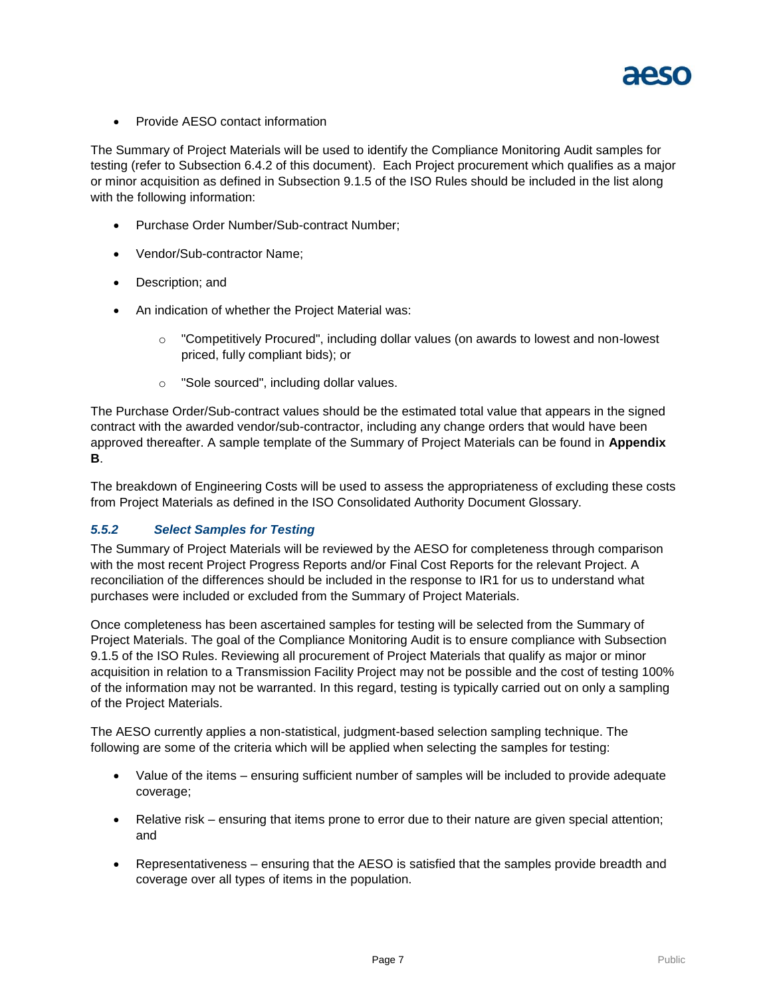

• Provide AESO contact information

The Summary of Project Materials will be used to identify the Compliance Monitoring Audit samples for testing (refer to Subsection 6.4.2 of this document). Each Project procurement which qualifies as a major or minor acquisition as defined in Subsection 9.1.5 of the ISO Rules should be included in the list along with the following information:

- Purchase Order Number/Sub-contract Number;
- Vendor/Sub-contractor Name;
- Description; and
- An indication of whether the Project Material was:
	- o "Competitively Procured", including dollar values (on awards to lowest and non-lowest priced, fully compliant bids); or
	- o "Sole sourced", including dollar values.

The Purchase Order/Sub-contract values should be the estimated total value that appears in the signed contract with the awarded vendor/sub-contractor, including any change orders that would have been approved thereafter. A sample template of the Summary of Project Materials can be found in **Appendix B**.

The breakdown of Engineering Costs will be used to assess the appropriateness of excluding these costs from Project Materials as defined in the ISO Consolidated Authority Document Glossary.

#### <span id="page-8-0"></span>*5.5.2 Select Samples for Testing*

The Summary of Project Materials will be reviewed by the AESO for completeness through comparison with the most recent Project Progress Reports and/or Final Cost Reports for the relevant Project. A reconciliation of the differences should be included in the response to IR1 for us to understand what purchases were included or excluded from the Summary of Project Materials.

Once completeness has been ascertained samples for testing will be selected from the Summary of Project Materials. The goal of the Compliance Monitoring Audit is to ensure compliance with Subsection 9.1.5 of the ISO Rules. Reviewing all procurement of Project Materials that qualify as major or minor acquisition in relation to a Transmission Facility Project may not be possible and the cost of testing 100% of the information may not be warranted. In this regard, testing is typically carried out on only a sampling of the Project Materials.

The AESO currently applies a non-statistical, judgment-based selection sampling technique. The following are some of the criteria which will be applied when selecting the samples for testing:

- Value of the items ensuring sufficient number of samples will be included to provide adequate coverage;
- Relative risk ensuring that items prone to error due to their nature are given special attention; and
- Representativeness ensuring that the AESO is satisfied that the samples provide breadth and coverage over all types of items in the population.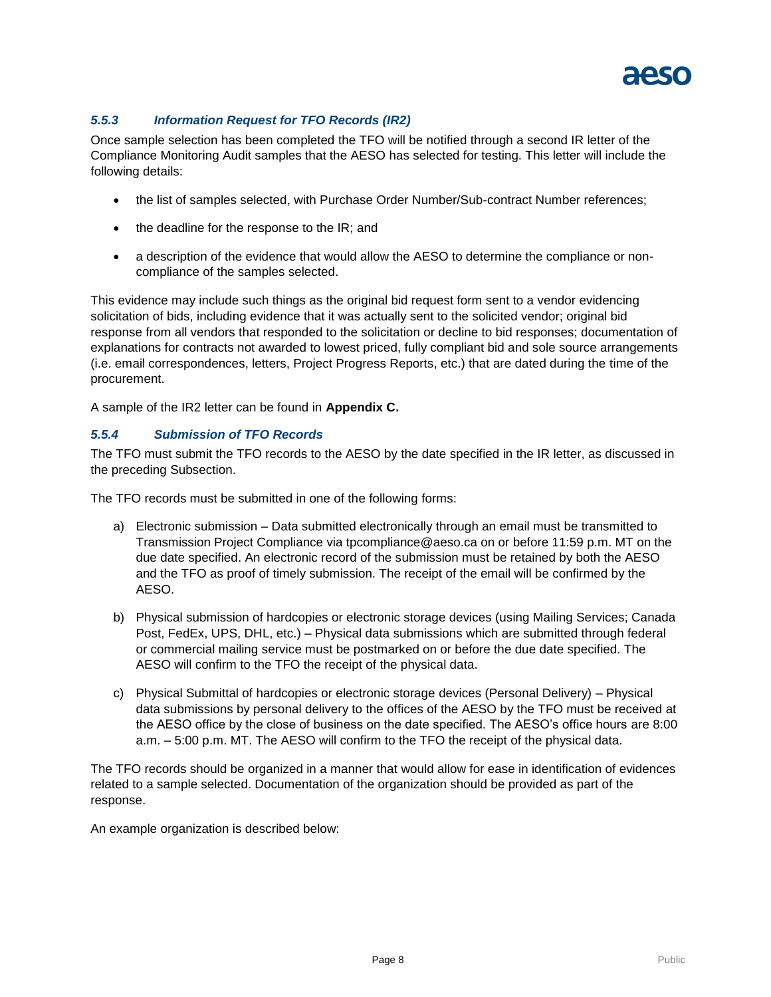

#### <span id="page-9-0"></span>*5.5.3 Information Request for TFO Records (IR2)*

Once sample selection has been completed the TFO will be notified through a second IR letter of the Compliance Monitoring Audit samples that the AESO has selected for testing. This letter will include the following details:

- the list of samples selected, with Purchase Order Number/Sub-contract Number references;
- the deadline for the response to the IR; and
- a description of the evidence that would allow the AESO to determine the compliance or noncompliance of the samples selected.

This evidence may include such things as the original bid request form sent to a vendor evidencing solicitation of bids, including evidence that it was actually sent to the solicited vendor; original bid response from all vendors that responded to the solicitation or decline to bid responses; documentation of explanations for contracts not awarded to lowest priced, fully compliant bid and sole source arrangements (i.e. email correspondences, letters, Project Progress Reports, etc.) that are dated during the time of the procurement.

A sample of the IR2 letter can be found in **Appendix C.**

#### <span id="page-9-1"></span>*5.5.4 Submission of TFO Records*

The TFO must submit the TFO records to the AESO by the date specified in the IR letter, as discussed in the preceding Subsection.

The TFO records must be submitted in one of the following forms:

- a) Electronic submission Data submitted electronically through an email must be transmitted to Transmission Project Compliance via tpcompliance@aeso.ca on or before 11:59 p.m. MT on the due date specified. An electronic record of the submission must be retained by both the AESO and the TFO as proof of timely submission. The receipt of the email will be confirmed by the AESO.
- b) Physical submission of hardcopies or electronic storage devices (using Mailing Services; Canada Post, FedEx, UPS, DHL, etc.) – Physical data submissions which are submitted through federal or commercial mailing service must be postmarked on or before the due date specified. The AESO will confirm to the TFO the receipt of the physical data.
- c) Physical Submittal of hardcopies or electronic storage devices (Personal Delivery) Physical data submissions by personal delivery to the offices of the AESO by the TFO must be received at the AESO office by the close of business on the date specified. The AESO's office hours are 8:00 a.m. – 5:00 p.m. MT. The AESO will confirm to the TFO the receipt of the physical data.

The TFO records should be organized in a manner that would allow for ease in identification of evidences related to a sample selected. Documentation of the organization should be provided as part of the response.

An example organization is described below: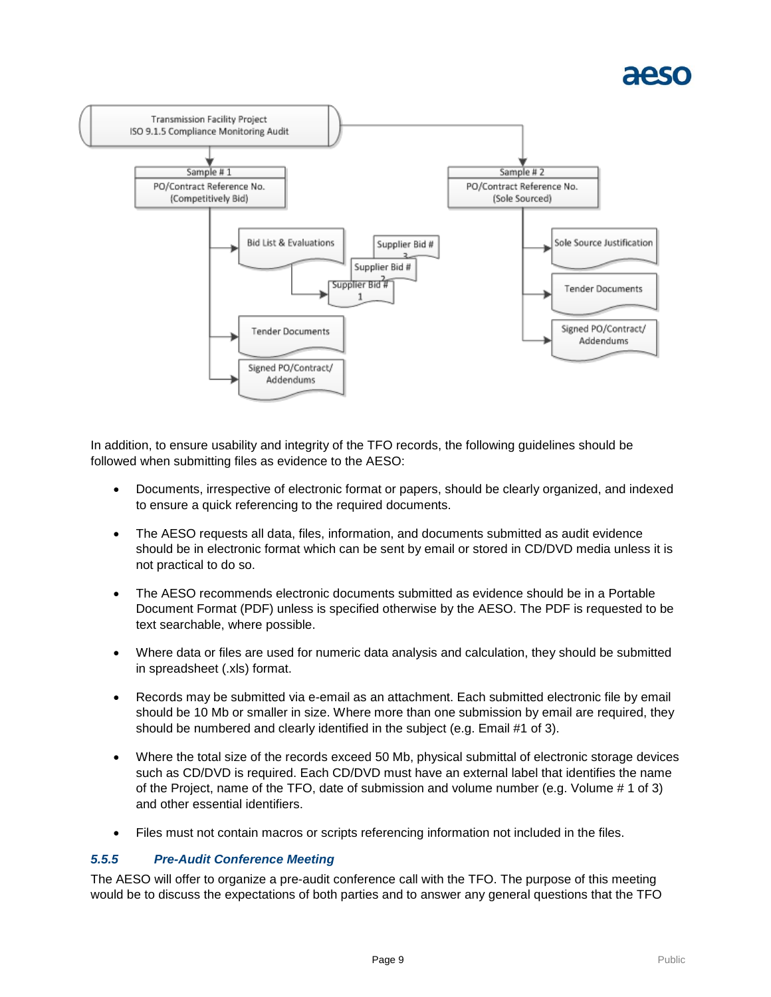

In addition, to ensure usability and integrity of the TFO records, the following guidelines should be followed when submitting files as evidence to the AESO:

- Documents, irrespective of electronic format or papers, should be clearly organized, and indexed to ensure a quick referencing to the required documents.
- The AESO requests all data, files, information, and documents submitted as audit evidence should be in electronic format which can be sent by email or stored in CD/DVD media unless it is not practical to do so.
- The AESO recommends electronic documents submitted as evidence should be in a Portable Document Format (PDF) unless is specified otherwise by the AESO. The PDF is requested to be text searchable, where possible.
- Where data or files are used for numeric data analysis and calculation, they should be submitted in spreadsheet (.xls) format.
- Records may be submitted via e-email as an attachment. Each submitted electronic file by email should be 10 Mb or smaller in size. Where more than one submission by email are required, they should be numbered and clearly identified in the subject (e.g. Email #1 of 3).
- Where the total size of the records exceed 50 Mb, physical submittal of electronic storage devices such as CD/DVD is required. Each CD/DVD must have an external label that identifies the name of the Project, name of the TFO, date of submission and volume number (e.g. Volume # 1 of 3) and other essential identifiers.
- Files must not contain macros or scripts referencing information not included in the files.

#### <span id="page-10-0"></span>*5.5.5 Pre-Audit Conference Meeting*

The AESO will offer to organize a pre-audit conference call with the TFO. The purpose of this meeting would be to discuss the expectations of both parties and to answer any general questions that the TFO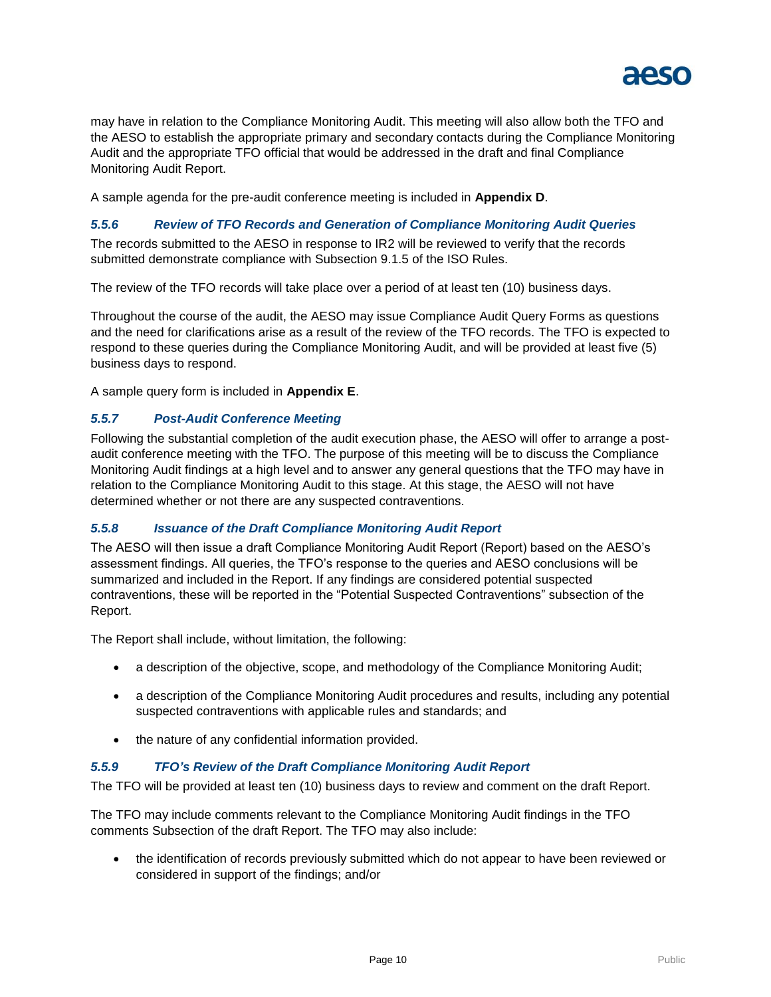

may have in relation to the Compliance Monitoring Audit. This meeting will also allow both the TFO and the AESO to establish the appropriate primary and secondary contacts during the Compliance Monitoring Audit and the appropriate TFO official that would be addressed in the draft and final Compliance Monitoring Audit Report.

A sample agenda for the pre-audit conference meeting is included in **Appendix D**.

#### <span id="page-11-0"></span>*5.5.6 Review of TFO Records and Generation of Compliance Monitoring Audit Queries*

The records submitted to the AESO in response to IR2 will be reviewed to verify that the records submitted demonstrate compliance with Subsection 9.1.5 of the ISO Rules.

The review of the TFO records will take place over a period of at least ten (10) business days.

Throughout the course of the audit, the AESO may issue Compliance Audit Query Forms as questions and the need for clarifications arise as a result of the review of the TFO records. The TFO is expected to respond to these queries during the Compliance Monitoring Audit, and will be provided at least five (5) business days to respond.

A sample query form is included in **Appendix E**.

#### <span id="page-11-1"></span>*5.5.7 Post-Audit Conference Meeting*

Following the substantial completion of the audit execution phase, the AESO will offer to arrange a postaudit conference meeting with the TFO. The purpose of this meeting will be to discuss the Compliance Monitoring Audit findings at a high level and to answer any general questions that the TFO may have in relation to the Compliance Monitoring Audit to this stage. At this stage, the AESO will not have determined whether or not there are any suspected contraventions.

#### <span id="page-11-2"></span>*5.5.8 Issuance of the Draft Compliance Monitoring Audit Report*

The AESO will then issue a draft Compliance Monitoring Audit Report (Report) based on the AESO's assessment findings. All queries, the TFO's response to the queries and AESO conclusions will be summarized and included in the Report. If any findings are considered potential suspected contraventions, these will be reported in the "Potential Suspected Contraventions" subsection of the Report.

The Report shall include, without limitation, the following:

- a description of the objective, scope, and methodology of the Compliance Monitoring Audit;
- a description of the Compliance Monitoring Audit procedures and results, including any potential suspected contraventions with applicable rules and standards; and
- the nature of any confidential information provided.

#### <span id="page-11-3"></span>*5.5.9 TFO's Review of the Draft Compliance Monitoring Audit Report*

The TFO will be provided at least ten (10) business days to review and comment on the draft Report.

The TFO may include comments relevant to the Compliance Monitoring Audit findings in the TFO comments Subsection of the draft Report. The TFO may also include:

• the identification of records previously submitted which do not appear to have been reviewed or considered in support of the findings; and/or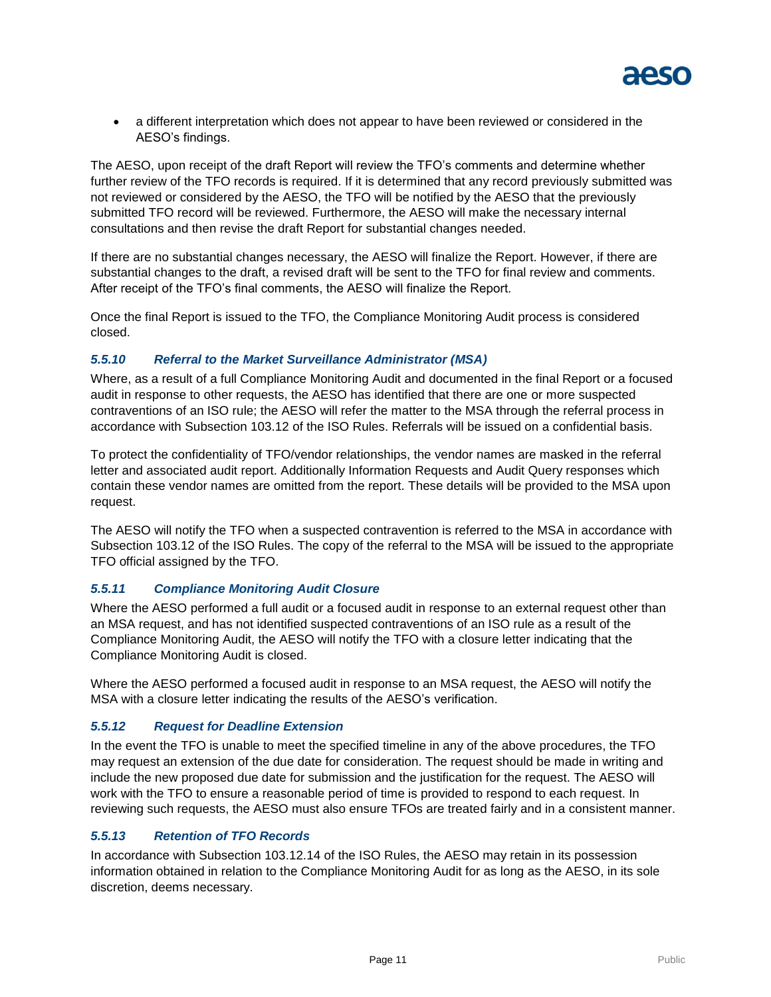

 a different interpretation which does not appear to have been reviewed or considered in the AESO's findings.

The AESO, upon receipt of the draft Report will review the TFO's comments and determine whether further review of the TFO records is required. If it is determined that any record previously submitted was not reviewed or considered by the AESO, the TFO will be notified by the AESO that the previously submitted TFO record will be reviewed. Furthermore, the AESO will make the necessary internal consultations and then revise the draft Report for substantial changes needed.

If there are no substantial changes necessary, the AESO will finalize the Report. However, if there are substantial changes to the draft, a revised draft will be sent to the TFO for final review and comments. After receipt of the TFO's final comments, the AESO will finalize the Report.

Once the final Report is issued to the TFO, the Compliance Monitoring Audit process is considered closed.

#### <span id="page-12-0"></span>*5.5.10 Referral to the Market Surveillance Administrator (MSA)*

Where, as a result of a full Compliance Monitoring Audit and documented in the final Report or a focused audit in response to other requests, the AESO has identified that there are one or more suspected contraventions of an ISO rule; the AESO will refer the matter to the MSA through the referral process in accordance with Subsection 103.12 of the ISO Rules. Referrals will be issued on a confidential basis.

To protect the confidentiality of TFO/vendor relationships, the vendor names are masked in the referral letter and associated audit report. Additionally Information Requests and Audit Query responses which contain these vendor names are omitted from the report. These details will be provided to the MSA upon request.

The AESO will notify the TFO when a suspected contravention is referred to the MSA in accordance with Subsection 103.12 of the ISO Rules. The copy of the referral to the MSA will be issued to the appropriate TFO official assigned by the TFO.

#### <span id="page-12-1"></span>*5.5.11 Compliance Monitoring Audit Closure*

Where the AESO performed a full audit or a focused audit in response to an external request other than an MSA request, and has not identified suspected contraventions of an ISO rule as a result of the Compliance Monitoring Audit, the AESO will notify the TFO with a closure letter indicating that the Compliance Monitoring Audit is closed.

Where the AESO performed a focused audit in response to an MSA request, the AESO will notify the MSA with a closure letter indicating the results of the AESO's verification.

#### <span id="page-12-2"></span>*5.5.12 Request for Deadline Extension*

In the event the TFO is unable to meet the specified timeline in any of the above procedures, the TFO may request an extension of the due date for consideration. The request should be made in writing and include the new proposed due date for submission and the justification for the request. The AESO will work with the TFO to ensure a reasonable period of time is provided to respond to each request. In reviewing such requests, the AESO must also ensure TFOs are treated fairly and in a consistent manner.

#### <span id="page-12-3"></span>*5.5.13 Retention of TFO Records*

In accordance with Subsection 103.12.14 of the ISO Rules, the AESO may retain in its possession information obtained in relation to the Compliance Monitoring Audit for as long as the AESO, in its sole discretion, deems necessary.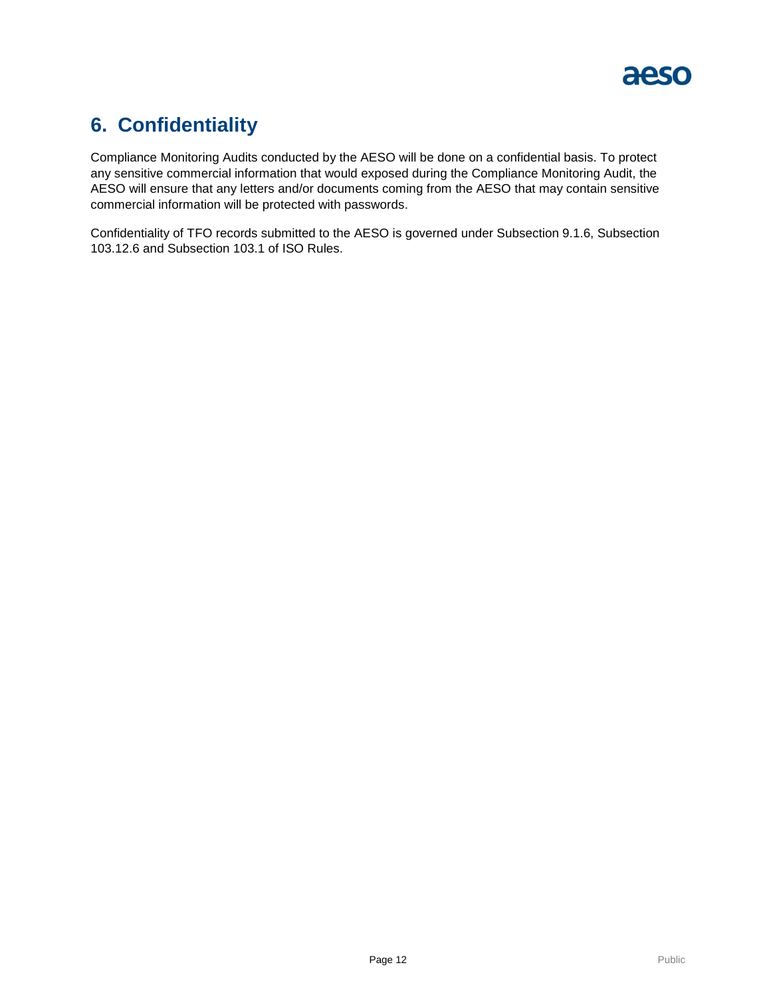

### <span id="page-13-0"></span>**6. Confidentiality**

Compliance Monitoring Audits conducted by the AESO will be done on a confidential basis. To protect any sensitive commercial information that would exposed during the Compliance Monitoring Audit, the AESO will ensure that any letters and/or documents coming from the AESO that may contain sensitive commercial information will be protected with passwords.

Confidentiality of TFO records submitted to the AESO is governed under Subsection 9.1.6, Subsection 103.12.6 and Subsection 103.1 of ISO Rules.